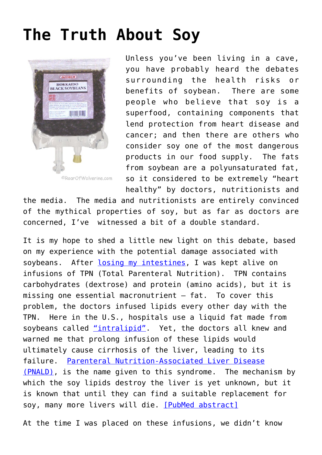## **[The Truth About Soy](http://roarofwolverine.com/archives/1557)**



Unless you've been living in a cave, you have probably heard the debates surrounding the health risks or benefits of soybean. There are some people who believe that soy is a superfood, containing components that lend protection from heart disease and cancer; and then there are others who consider soy one of the most dangerous products in our food supply. The fats from soybean are a polyunsaturated fat, so it considered to be extremely "heart healthy" by doctors, nutritionists and

the media. The media and nutritionists are entirely convinced of the mythical properties of soy, but as far as doctors are concerned, I've witnessed a bit of a double standard.

It is my hope to shed a little new light on this debate, based on my experience with the potential damage associated with soybeans. After [losing my intestines](http://roarofwolverine.com/wolverine), I was kept alive on infusions of TPN (Total Parenteral Nutrition). TPN contains carbohydrates (dextrose) and protein (amino acids), but it is missing one essential macronutrient — fat. To cover this problem, the doctors infused lipids every other day with the TPN. Here in the U.S., hospitals use a liquid fat made from soybeans called ["intralipid"](http://www.drugs.com/pro/intralipid.html). Yet, the doctors all knew and warned me that prolong infusion of these lipids would ultimately cause cirrhosis of the liver, leading to its failure. [Parenteral Nutrition-Associated Liver Disease](http://www.oley.org/lifeline/PNALD.html) [\(PNALD\)](http://www.oley.org/lifeline/PNALD.html), is the name given to this syndrome. The mechanism by which the soy lipids destroy the liver is yet unknown, but it is known that until they can find a suitable replacement for soy, many more livers will die. [\[PubMed abstract\]](http://www.ncbi.nlm.nih.gov/pubmed/6425640)

At the time I was placed on these infusions, we didn't know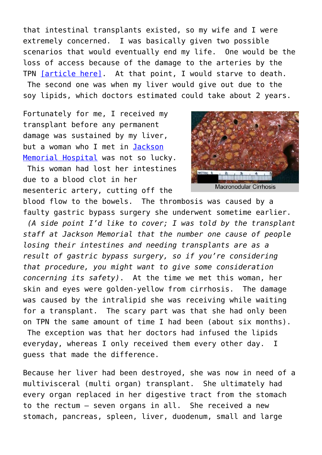that intestinal transplants existed, so my wife and I were extremely concerned. I was basically given two possible scenarios that would eventually end my life. One would be the loss of access because of the damage to the arteries by the TPN [\[article here\].](http://roarofwolverine.com/archives/1377) At that point, I would starve to death. The second one was when my liver would give out due to the soy lipids, which doctors estimated could take about 2 years.

Fortunately for me, I received my transplant before any permanent damage was sustained by my liver, but a woman who I met in [Jackson](http://www.miamitransplant.org/) [Memorial Hospital](http://www.miamitransplant.org/) was not so lucky.

 This woman had lost her intestines due to a blood clot in her mesenteric artery, cutting off the



blood flow to the bowels. The thrombosis was caused by a faulty gastric bypass surgery she underwent sometime earlier. *(A side point I'd like to cover; I was told by the transplant staff at Jackson Memorial that the number one cause of people losing their intestines and needing transplants are as a result of gastric bypass surgery, so if you're considering that procedure, you might want to give some consideration concerning its safety)*. At the time we met this woman, her skin and eyes were golden-yellow from cirrhosis. The damage was caused by the intralipid she was receiving while waiting for a transplant. The scary part was that she had only been on TPN the same amount of time I had been (about six months). The exception was that her doctors had infused the lipids everyday, whereas I only received them every other day. I guess that made the difference.

Because her liver had been destroyed, she was now in need of a multivisceral (multi organ) transplant. She ultimately had every organ replaced in her digestive tract from the stomach to the rectum — seven organs in all. She received a new stomach, pancreas, spleen, liver, duodenum, small and large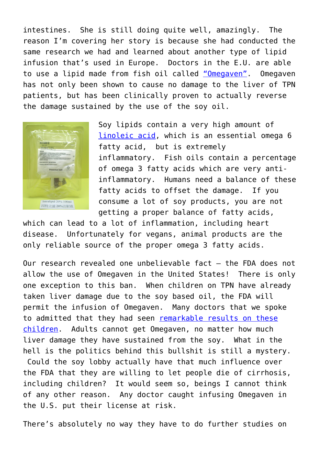intestines. She is still doing quite well, amazingly. The reason I'm covering her story is because she had conducted the same research we had and learned about another type of lipid infusion that's used in Europe. Doctors in the E.U. are able to use a lipid made from fish oil called ["Omegaven".](http://grey.colorado.edu/shortgut/index.php/Omegaven) Omegaven has not only been shown to cause no damage to the liver of TPN patients, but has been clinically proven to actually reverse the damage sustained by the use of the soy oil.



Soy lipids contain a very high amount of [linoleic acid,](http://www.linoleicacid.net/) which is an essential omega 6 fatty acid, but is extremely inflammatory. Fish oils contain a percentage of omega 3 fatty acids which are very antiinflammatory. Humans need a balance of these fatty acids to offset the damage. If you consume a lot of soy products, you are not getting a proper balance of fatty acids,

which can lead to a lot of inflammation, including heart disease. Unfortunately for vegans, animal products are the only reliable source of the proper omega 3 fatty acids.

Our research revealed one unbelievable fact — the FDA does not allow the use of Omegaven in the United States! There is only one exception to this ban. When children on TPN have already taken liver damage due to the soy based oil, the FDA will permit the infusion of Omegaven. Many doctors that we spoke to admitted that they had seen [remarkable results on these](http://health.usnews.com/health-news/best-childrens-hospitals/articles/2008/05/29/thanks-to-fish-oil-shes-a-golden-girl-no-longer/comments) [children.](http://health.usnews.com/health-news/best-childrens-hospitals/articles/2008/05/29/thanks-to-fish-oil-shes-a-golden-girl-no-longer/comments) Adults cannot get Omegaven, no matter how much liver damage they have sustained from the soy. What in the hell is the politics behind this bullshit is still a mystery. Could the soy lobby actually have that much influence over the FDA that they are willing to let people die of cirrhosis, including children? It would seem so, beings I cannot think of any other reason. Any doctor caught infusing Omegaven in the U.S. put their license at risk.

There's absolutely no way they have to do further studies on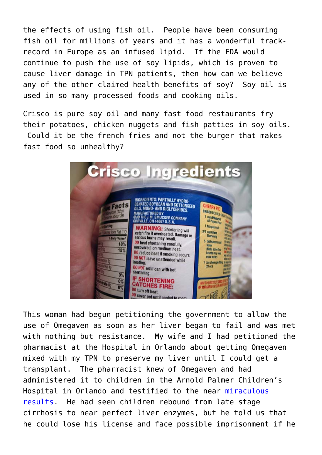the effects of using fish oil. People have been consuming fish oil for millions of years and it has a wonderful trackrecord in Europe as an infused lipid. If the FDA would continue to push the use of soy lipids, which is proven to cause liver damage in TPN patients, then how can we believe any of the other claimed health benefits of soy? Soy oil is used in so many processed foods and cooking oils.

Crisco is pure soy oil and many fast food restaurants fry their potatoes, chicken nuggets and fish patties in soy oils. Could it be the french fries and not the burger that makes fast food so unhealthy?



This woman had begun petitioning the government to allow the use of Omegaven as soon as her liver began to fail and was met with nothing but resistance. My wife and I had petitioned the pharmacist at the Hospital in Orlando about getting Omegaven mixed with my TPN to preserve my liver until I could get a transplant. The pharmacist knew of Omegaven and had administered it to children in the Arnold Palmer Children's Hospital in Orlando and testified to the near [miraculous](http://newsletter.vitalchoice.com/e_article000616701.cfm?x=b11,0,w) [results](http://newsletter.vitalchoice.com/e_article000616701.cfm?x=b11,0,w). He had seen children rebound from late stage cirrhosis to near perfect liver enzymes, but he told us that he could lose his license and face possible imprisonment if he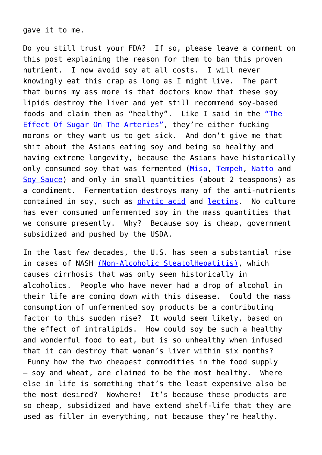gave it to me.

Do you still trust your FDA? If so, please leave a comment on this post explaining the reason for them to ban this proven nutrient. I now avoid soy at all costs. I will never knowingly eat this crap as long as I might live. The part that burns my ass more is that doctors know that these soy lipids destroy the liver and yet still recommend soy-based foods and claim them as "healthy". Like I said in the ["The](http://roarofwolverine.com/archives/1377) [Effect Of Sugar On The Arteries",](http://roarofwolverine.com/archives/1377) they're either fucking morons or they want us to get sick. And don't give me that shit about the Asians eating soy and being so healthy and having extreme longevity, because the Asians have historically only consumed soy that was fermented [\(Miso,](http://en.wikipedia.org/wiki/Miso) [Tempeh,](http://en.wikipedia.org/wiki/Tempeh) [Natto](http://en.wikipedia.org/wiki/Nattō) and [Soy Sauce\)](http://en.wikipedia.org/wiki/Soy_sauce) and only in small quantities (about 2 teaspoons) as a condiment. Fermentation destroys many of the anti-nutrients contained in soy, such as [phytic acid](http://en.wikipedia.org/wiki/Phytic_acid) and [lectins.](http://www.healthy-eating-politics.com/toxins-in-food.html) No culture has ever consumed unfermented soy in the mass quantities that we consume presently. Why? Because soy is cheap, government subsidized and pushed by the USDA.

In the last few decades, the U.S. has seen a substantial rise in cases of NASH [\(Non-Alcoholic SteatolHepatitis\),](http://digestive.niddk.nih.gov/ddiseases/pubs/nash/) which causes cirrhosis that was only seen historically in alcoholics. People who have never had a drop of alcohol in their life are coming down with this disease. Could the mass consumption of unfermented soy products be a contributing factor to this sudden rise? It would seem likely, based on the effect of intralipids. How could soy be such a healthy and wonderful food to eat, but is so unhealthy when infused that it can destroy that woman's liver within six months?

 Funny how the two cheapest commodities in the food supply — soy and wheat, are claimed to be the most healthy. Where else in life is something that's the least expensive also be the most desired? Nowhere! It's because these products are so cheap, subsidized and have extend shelf-life that they are used as filler in everything, not because they're healthy.